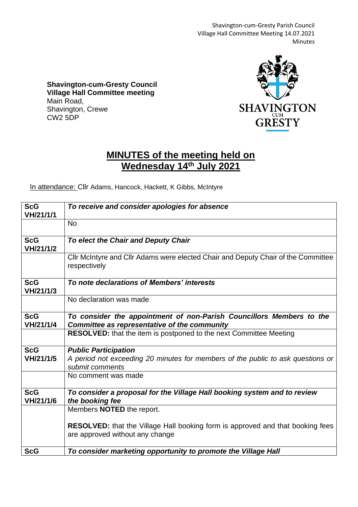Shavington-cum-Gresty Parish Council Village Hall Committee Meeting 14.07.2021 Minutes

**Shavington-cum-Gresty Council Village Hall Committee meeting** Main Road, Shavington, Crewe CW2 5DP



## **MINUTES of the meeting held on Wednesday 14th July 2021**

In attendance: Cllr Adams, Hancock, Hackett, K Gibbs, McIntyre

| <b>ScG</b><br>VH/21/1/1 | To receive and consider apologies for absence                                                                            |
|-------------------------|--------------------------------------------------------------------------------------------------------------------------|
|                         | <b>No</b>                                                                                                                |
| <b>ScG</b><br>VH/21/1/2 | To elect the Chair and Deputy Chair                                                                                      |
|                         | Cllr McIntyre and Cllr Adams were elected Chair and Deputy Chair of the Committee<br>respectively                        |
| <b>ScG</b><br>VH/21/1/3 | To note declarations of Members' interests                                                                               |
|                         | No declaration was made                                                                                                  |
| <b>ScG</b><br>VH/21/1/4 | To consider the appointment of non-Parish Councillors Members to the<br>Committee as representative of the community     |
|                         | <b>RESOLVED:</b> that the item is postponed to the next Committee Meeting                                                |
| <b>ScG</b>              | <b>Public Participation</b>                                                                                              |
| VH/21/1/5               | A period not exceeding 20 minutes for members of the public to ask questions or<br>submit comments                       |
|                         | No comment was made                                                                                                      |
| <b>ScG</b><br>VH/21/1/6 | To consider a proposal for the Village Hall booking system and to review<br>the booking fee                              |
|                         | Members NOTED the report.                                                                                                |
|                         | <b>RESOLVED:</b> that the Village Hall booking form is approved and that booking fees<br>are approved without any change |
| <b>ScG</b>              | To consider marketing opportunity to promote the Village Hall                                                            |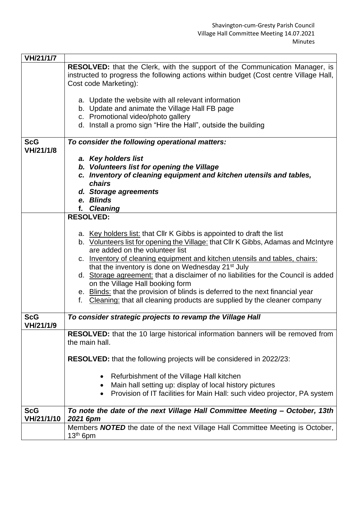| VH/21/1/7  |                                                                                       |
|------------|---------------------------------------------------------------------------------------|
|            | RESOLVED: that the Clerk, with the support of the Communication Manager, is           |
|            | instructed to progress the following actions within budget (Cost centre Village Hall, |
|            | Cost code Marketing):                                                                 |
|            |                                                                                       |
|            | a. Update the website with all relevant information                                   |
|            | b. Update and animate the Village Hall FB page                                        |
|            | c. Promotional video/photo gallery                                                    |
|            | d. Install a promo sign "Hire the Hall", outside the building                         |
|            |                                                                                       |
| <b>ScG</b> | To consider the following operational matters:                                        |
| VH/21/1/8  |                                                                                       |
|            | a. Key holders list                                                                   |
|            | b. Volunteers list for opening the Village                                            |
|            | c. Inventory of cleaning equipment and kitchen utensils and tables,                   |
|            | chairs                                                                                |
|            | d. Storage agreements<br>e. Blinds                                                    |
|            | f. Cleaning                                                                           |
|            | <b>RESOLVED:</b>                                                                      |
|            |                                                                                       |
|            | a. Key holders list: that Cllr K Gibbs is appointed to draft the list                 |
|            | b. Volunteers list for opening the Village: that Cllr K Gibbs, Adamas and McIntyre    |
|            | are added on the volunteer list                                                       |
|            | c. Inventory of cleaning equipment and kitchen utensils and tables, chairs:           |
|            | that the inventory is done on Wednesday 21 <sup>st</sup> July                         |
|            | d. Storage agreement: that a disclaimer of no liabilities for the Council is added    |
|            | on the Village Hall booking form                                                      |
|            | e. Blinds: that the provision of blinds is deferred to the next financial year        |
|            | Cleaning: that all cleaning products are supplied by the cleaner company<br>f.        |
|            |                                                                                       |
| <b>ScG</b> | To consider strategic projects to revamp the Village Hall                             |
| VH/21/1/9  |                                                                                       |
|            | RESOLVED: that the 10 large historical information banners will be removed from       |
|            | the main hall.                                                                        |
|            |                                                                                       |
|            | <b>RESOLVED:</b> that the following projects will be considered in 2022/23:           |
|            |                                                                                       |
|            | Refurbishment of the Village Hall kitchen<br>$\bullet$                                |
|            | Main hall setting up: display of local history pictures                               |
|            | Provision of IT facilities for Main Hall: such video projector, PA system             |
|            |                                                                                       |
| <b>ScG</b> | To note the date of the next Village Hall Committee Meeting - October, 13th           |
| VH/21/1/10 | 2021 6pm                                                                              |
|            | Members <b>NOTED</b> the date of the next Village Hall Committee Meeting is October,  |
|            | $13th$ 6pm                                                                            |